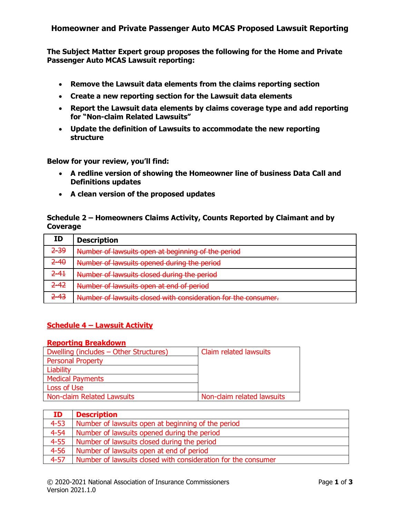## **Homeowner and Private Passenger Auto MCAS Proposed Lawsuit Reporting**

**The Subject Matter Expert group proposes the following for the Home and Private Passenger Auto MCAS Lawsuit reporting:**

- **Remove the Lawsuit data elements from the claims reporting section**
- **Create a new reporting section for the Lawsuit data elements**
- **Report the Lawsuit data elements by claims coverage type and add reporting for "Non-claim Related Lawsuits"**
- **Update the definition of Lawsuits to accommodate the new reporting structure**

**Below for your review, you'll find:**

- **A redline version of showing the Homeowner line of business Data Call and Definitions updates**
- **A clean version of the proposed updates**

## **Schedule 2 – Homeowners Claims Activity, Counts Reported by Claimant and by Coverage**

| ID       | <b>Description</b>                                             |
|----------|----------------------------------------------------------------|
| $2 - 39$ | Number of lawsuits open at beginning of the period             |
| $2 - 40$ | Number of lawsuits opened during the period                    |
| $2 - 41$ | Number of lawsuits closed during the period                    |
| $2 - 42$ | Number of lawsuits open at end of period                       |
| $2 - 43$ | Number of lawsuits closed with consideration for the consumer. |

### **Schedule 4 – Lawsuit Activity**

#### **Reporting Breakdown**

| Dwelling (includes – Other Structures) | Claim related lawsuits     |
|----------------------------------------|----------------------------|
| <b>Personal Property</b>               |                            |
| Liability                              |                            |
| <b>Medical Payments</b>                |                            |
| Loss of Use                            |                            |
| <b>Non-claim Related Lawsuits</b>      | Non-claim related lawsuits |

| ID       | <b>Description</b>                                            |
|----------|---------------------------------------------------------------|
| $4 - 53$ | Number of lawsuits open at beginning of the period            |
| $4 - 54$ | Number of lawsuits opened during the period                   |
| $4 - 55$ | Number of lawsuits closed during the period                   |
| $4 - 56$ | Number of lawsuits open at end of period                      |
| $4 - 57$ | Number of lawsuits closed with consideration for the consumer |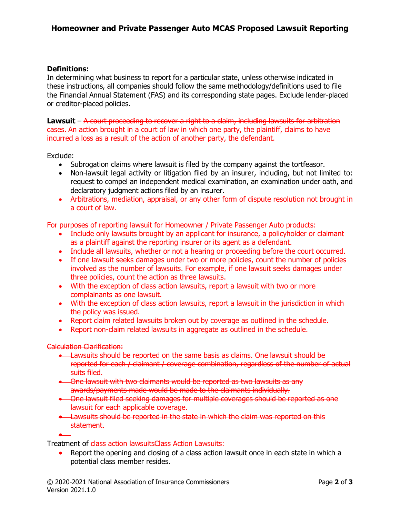## **Definitions:**

In determining what business to report for a particular state, unless otherwise indicated in these instructions, all companies should follow the same methodology/definitions used to file the Financial Annual Statement (FAS) and its corresponding state pages. Exclude lender-placed or creditor-placed policies.

**Lawsuit** – A court proceeding to recover a right to a claim, including lawsuits for arbitration cases. An action brought in a court of law in which one party, the plaintiff, claims to have incurred a loss as a result of the action of another party, the defendant.

Exclude:

- Subrogation claims where lawsuit is filed by the company against the tortfeasor.
- Non-lawsuit legal activity or litigation filed by an insurer, including, but not limited to: request to compel an independent medical examination, an examination under oath, and declaratory judgment actions filed by an insurer.
- Arbitrations, mediation, appraisal, or any other form of dispute resolution not brought in a court of law.

For purposes of reporting lawsuit for Homeowner / Private Passenger Auto products:

- Include only lawsuits brought by an applicant for insurance, a policyholder or claimant as a plaintiff against the reporting insurer or its agent as a defendant.
- Include all lawsuits, whether or not a hearing or proceeding before the court occurred.
- If one lawsuit seeks damages under two or more policies, count the number of policies involved as the number of lawsuits. For example, if one lawsuit seeks damages under three policies, count the action as three lawsuits.
- With the exception of class action lawsuits, report a lawsuit with two or more complainants as one lawsuit.
- With the exception of class action lawsuits, report a lawsuit in the jurisdiction in which the policy was issued.
- Report claim related lawsuits broken out by coverage as outlined in the schedule.
- Report non-claim related lawsuits in aggregate as outlined in the schedule.

Calculation Clarification:

•

- Lawsuits should be reported on the same basis as claims. One lawsuit should be reported for each / claimant / coverage combination, regardless of the number of actual suits filed.
- One lawsuit with two claimants would be reported as two lawsuits as any awards/payments made would be made to the claimants individually.
- One lawsuit filed seeking damages for multiple coverages should be reported as one lawsuit for each applicable coverage.
- Lawsuits should be reported in the state in which the claim was reported on this statement.

Treatment of class action lawsuitsClass Action Lawsuits:

• Report the opening and closing of a class action lawsuit once in each state in which a potential class member resides.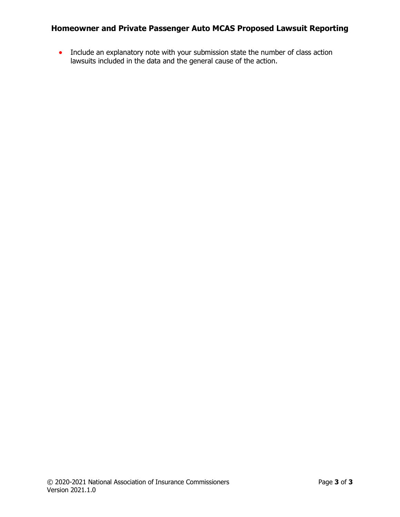# **Homeowner and Private Passenger Auto MCAS Proposed Lawsuit Reporting**

• Include an explanatory note with your submission state the number of class action lawsuits included in the data and the general cause of the action.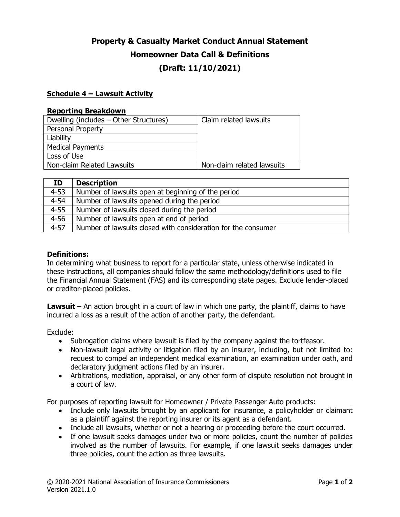# **Property & Casualty Market Conduct Annual Statement Homeowner Data Call & Definitions (Draft: 11/10/2021)**

### **Schedule 4 – Lawsuit Activity**

#### **Reporting Breakdown**

| Dwelling (includes – Other Structures) | Claim related lawsuits     |
|----------------------------------------|----------------------------|
| <b>Personal Property</b>               |                            |
| Liability                              |                            |
| <b>Medical Payments</b>                |                            |
| Loss of Use                            |                            |
| Non-claim Related Lawsuits             | Non-claim related lawsuits |

| ID       | <b>Description</b>                                            |
|----------|---------------------------------------------------------------|
| $4 - 53$ | Number of lawsuits open at beginning of the period            |
| $4 - 54$ | Number of lawsuits opened during the period                   |
| $4 - 55$ | Number of lawsuits closed during the period                   |
| $4 - 56$ | Number of lawsuits open at end of period                      |
| $4 - 57$ | Number of lawsuits closed with consideration for the consumer |

### **Definitions:**

In determining what business to report for a particular state, unless otherwise indicated in these instructions, all companies should follow the same methodology/definitions used to file the Financial Annual Statement (FAS) and its corresponding state pages. Exclude lender-placed or creditor-placed policies.

**Lawsuit** – An action brought in a court of law in which one party, the plaintiff, claims to have incurred a loss as a result of the action of another party, the defendant.

Exclude:

- Subrogation claims where lawsuit is filed by the company against the tortfeasor.
- Non-lawsuit legal activity or litigation filed by an insurer, including, but not limited to: request to compel an independent medical examination, an examination under oath, and declaratory judgment actions filed by an insurer.
- Arbitrations, mediation, appraisal, or any other form of dispute resolution not brought in a court of law.

For purposes of reporting lawsuit for Homeowner / Private Passenger Auto products:

- Include only lawsuits brought by an applicant for insurance, a policyholder or claimant as a plaintiff against the reporting insurer or its agent as a defendant.
- Include all lawsuits, whether or not a hearing or proceeding before the court occurred.
- If one lawsuit seeks damages under two or more policies, count the number of policies involved as the number of lawsuits. For example, if one lawsuit seeks damages under three policies, count the action as three lawsuits.